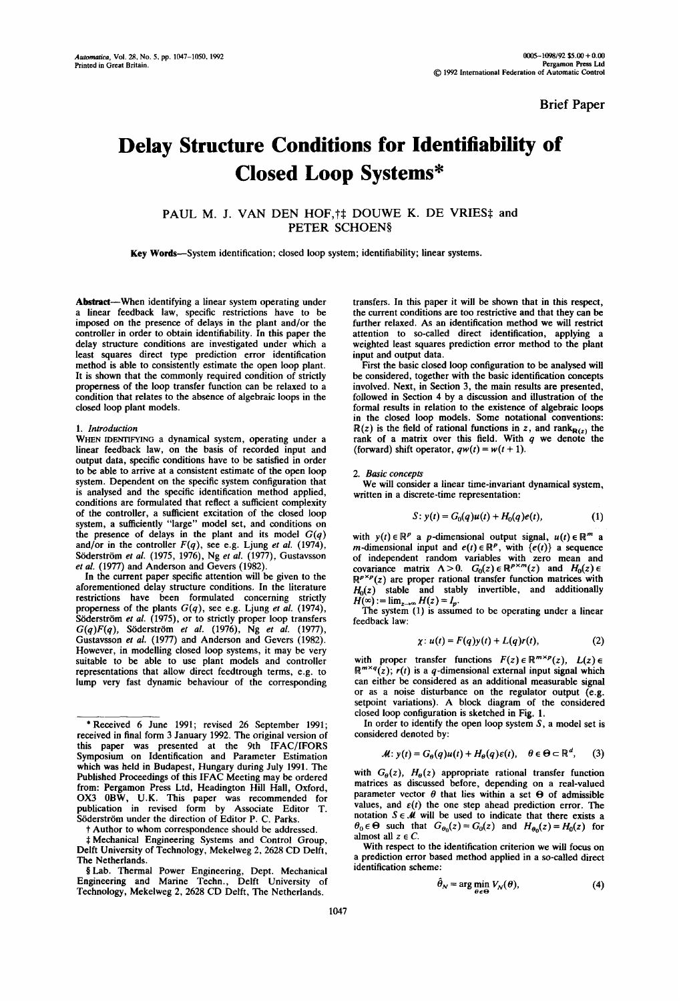**Brief Paper** 

# **Delay Structure Conditions for Identifiability of Closed Loop Systems\***

PAUL M. J. VAN DEN HOF, † DOUWE K. DE VRIES; and PETER SCHOEN§

**Key** Words--System identification; closed loop system; identifiability; linear systems.

Abstract--When identifying a linear system operating under a linear feedback law, specific restrictions have to be imposed on the presence of delays in the plant and/or the controller in order to obtain identifiability. In this paper the delay structure conditions are investigated under which a least squares direct type prediction error identification method is able to consistently estimate the open loop plant. It is shown that the commonly required condition of strictly properness of the loop transfer function can be relaxed to a condition that relates to the absence of algebraic loops in the closed loop plant models.

## *1. Introduction*

WHEN IDENTIFYING a dynamical system, operating under a linear feedback law, on the basis of recorded input and output data, specific conditions have to be satisfied in order to be able to arrive at a consistent estimate of the open loop system. Dependent on the specific system configuration that is analysed and the specific identification method applied, conditions are formulated that reflect a sufficient complexity of the controller, a sufficient excitation of the closed loop system, a sufficiently "large" model set, and conditions on the presence of delays in the plant and its model  $G(q)$ and/or in the controller  $F(q)$ , see e.g. Ljung *et al.* (1974), Söderström et al. (1975, 1976), Ng et al. (1977), Gustavsson *et al.* (1977) and Anderson and Gevers (1982).

In the current paper specific attention will be given to the aforementioned delay structure conditions. In the literature restrictions have been formulated concerning strictly properness of the plants *G(q),* see e.g. Ljung et *al.* (1974), Söderström *et al.* (1975), or to strictly proper loop transfers *G(q)F(q),* S6derstr6m *et al.* (1976), Ng *et al.* (1977), Gustavsson et *al.* (1977) and Anderson and Gevers (1982). However, in modelling closed loop systems, it may be very suitable to be able to use plant models and controller representations that allow direct feedtrough terms, e.g. to lump very fast dynamic behaviour of the corresponding

\*Received 6 June 1991; revised 26 September 1991; received in final form 3 January 1992. The original version of this paper was presented at the 9th IFAC/IFORS Symposium on Identification and Parameter Estimation which was held in Budapest, Hungary during July 1991. The Published Proceedings of this IFAC Meeting may be ordered from: Pergamon Press Ltd, Headington Hill Hall, Oxford, OX3 0BW, U.K. This paper was recommended for publication in revised form by Associate Editor T. Söderström under the direction of Editor P. C. Parks.

l" Author to whom correspondence should be addressed.

Mechanical Engineering Systems and Control Group, Delft University of Technology, Mekelweg 2, 2628 CD Delft, The Netherlands.

§ Lab. Thermal Power Engineering, Dept. Mechanical Engineering and Marine Techn., Delft University of Technology, Mekelweg 2, 2628 CD Delft, The Netherlands.

transfers. In this paper it will be shown that in this respect, the current conditions are too restrictive and that they can be further relaxed. As an identification method we will restrict attention to so-called direct identification, applying a weighted least squares prediction error method to the plant input and output data.

First the basic closed loop configuration to be analysed will be considered, together with the basic identification concepts involved. Next, in Section 3, the main results are presented, followed in Section 4 by a discussion and illustration of the formal results in relation to the existence of algebraic loops in the closed loop models. Some notational conventions:  $R(z)$  is the field of rational functions in z, and rank  $R(z)$  the rank of a matrix over this field. With  $q$  we denote the (forward) shift operator,  $q w(t) = w(t + 1)$ .

## *2. Basic concepts*

We will consider a linear time-invariant dynamical system, written in a discrete-time representation:

$$
S: y(t) = G_0(q)u(t) + H_0(q)e(t),
$$
 (1)

with  $y(t) \in \mathbb{R}^p$  a *p*-dimensional output signal,  $u(t) \in \mathbb{R}^m$  a *m*-dimensional input and  $e(t) \in \mathbb{R}^p$ , with  $\{e(t)\}\$ a sequence of independent random variables with zero mean and covariance matrix  $\Lambda > 0$ .  $G_0(z) \in \mathbb{R}^{p \times m}(z)$  and  $H_0(z)$  $\mathbb{R}^{p \times p}(z)$  are proper rational transfer function matrices with  $H_0(z)$  stable and stably invertible, and additionally  $H(\infty) := \lim_{z \to \infty} H(z) = I_p$ .

The system (1) is assumed to be operating under a linear feedback law:

$$
\chi: u(t) = F(q)y(t) + L(q)r(t), \qquad (2)
$$

with proper transfer functions  $F(z) \in \mathbb{R}^{m \times p}(z)$ ,  $L(z) \in$  $\mathbb{R}^{m \times q}(z)$ ;  $r(t)$  is a q-dimensional external input signal which can either be considered as an additional measurable signal or as a noise disturbance on the regulator output (e.g. setpoint variations). A block diagram of the considered closed loop configuration is sketched in Fig. 1.

In order to identify the open loop system  $S$ , a model set is considered denoted by:

$$
\mathcal{M}: y(t) = G_{\theta}(q)u(t) + H_{\theta}(q)\varepsilon(t), \quad \theta \in \Theta \subset \mathbb{R}^d, \quad (3)
$$

with  $G_{\theta}(z)$ ,  $H_{\theta}(z)$  appropriate rational transfer function matrices as discussed before, depending on a real-valued parameter vector  $\theta$  that lies within a set  $\Theta$  of admissible values, and  $\varepsilon(t)$  the one step ahead prediction error. The notation  $S \in \mathcal{M}$  will be used to indicate that there exists a  $\theta_0 \in \Theta$  such that  $G_{\theta_0}(z) = G_0(z)$  and  $H_{\theta_0}(z) = H_0(z)$  for almost all  $z \in C$ .

With respect to the identification criterion we will focus on a prediction error based method applied in a so-called direct identification scheme:

$$
\hat{\theta}_N = \arg\min_{\theta \in \Theta} V_N(\theta), \tag{4}
$$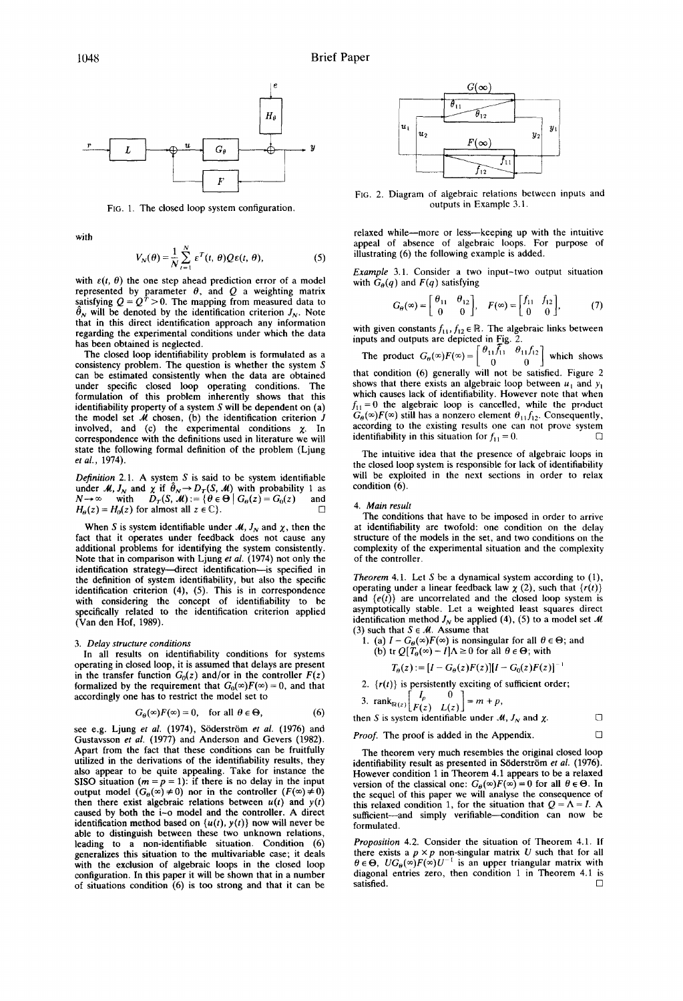

FIG. 1. The closed loop system configuration.

with

$$
V_N(\theta) = \frac{1}{N} \sum_{t=1}^N \varepsilon^T(t, \theta) Q \varepsilon(t, \theta), \tag{5}
$$

with  $\varepsilon(t, \theta)$  the one step ahead prediction error of a model represented by parameter  $\theta$ , and  $Q$  a weighting matrix satisfying  $Q = Q^T > 0$ . The mapping from measured data to  $\theta_N$  will be denoted by the identification criterion  $J_N$ . Note that in this direct identification approach any information regarding the experimental conditions under which the data has been obtained is neglected.

The closed loop identifiability problem is formulated as a consistency problem. The question is whether the system S can be estimated consistently when the data are obtained under specific closed loop operating conditions. The formulation of this problem inherently shows that this identifiability property of a system  $S$  will be dependent on  $(a)$ the model set  $\hat{\mathcal{M}}$  chosen, (b) the identification criterion  $\hat{J}$ involved, and (c) the experimental conditions  $\chi$ . In correspondence with the definitions used in literature we will state the following formal definition of the problem (Ljung *et al.,* 1974).

*Definition* 2.1. A system S is said to be system identifiable under *M*,  $J_N$  and  $\chi$  if  $\theta_N \rightarrow D_T(S, M)$  with probability 1 as  $N \rightarrow \infty$  with  $D_T(S, \mathcal{M}) := \{ \theta \in \Theta \mid G_\theta(z) = G_0(z) \text{ and }$  $H_{\theta}(z) = H_0(z)$  for almost all  $z \in \mathbb{C}$ .

When S is system identifiable under  $M$ ,  $J_N$  and  $\chi$ , then the fact that it operates under feedback does not cause any additional problems for identifying the system consistently. Note that in comparison with Ljung *et al.* (1974) not only the identification strategy-direct identification-is specified in the definition of system identifiability, but also the specific identification criterion (4), (5). This is in correspondence with considering the concept of identifiability to be specifically related to the identification criterion applied (Van den Hof, 1989).

## *3. Delay structure conditions*

In all results on identifiability conditions for systems operating in closed loop, it is assumed that delays are present in the transfer function  $G_0(z)$  and/or in the controller  $F(z)$ formalized by the requirement that  $G_0(\infty)F(\infty) = 0$ , and that accordingly one has to restrict the model set to

$$
G_{\theta}(\infty)F(\infty) = 0, \quad \text{for all } \theta \in \Theta,
$$
 (6)

see e.g. Ljung *et al.* (1974), Söderström *et al.* (1976) and Gustavsson *et al.* (1977) and Anderson and Gevers (1982). Apart from the fact that these conditions can be fruitfully utilized in the derivations of the identifiability results, they also appear to be quite appealing. Take for instance the SISO situation ( $m = p = 1$ ): if there is no delay in the input output model  $(G_{\theta}(\infty) \neq 0)$  nor in the controller  $(F(\infty) \neq 0)$ then there exist algebraic relations between  $u(t)$  and  $y(t)$ caused by both the i-o model and the controller. A direct identification method based on  $\{u(t), y(t)\}$  now will never be able to distinguish between these two unknown relations, leading to a non-identifiable situation. Condition (6) generalizes this situation to the multivariable case; it deals with the exclusion of algebraic loops in the closed loop configuration. In this paper it will be shown that in a number of situations condition (6) is too strong and that it can be



FIG. 2. Diagram of algebraic relations between inputs and outputs in Example 3.1.

relaxed while--more or less--keeping up with the intuitive appeal of absence of algebraic loops. For purpose of illustrating (6) the following example is added.

*Example* 3.1. Consider a two input-two output situation with  $G_{\theta}(q)$  and  $F(q)$  satisfying

$$
G_{\theta}(\infty) = \begin{bmatrix} \theta_{11} & \theta_{12} \\ 0 & 0 \end{bmatrix}, \quad F(\infty) = \begin{bmatrix} f_{11} & f_{12} \\ 0 & 0 \end{bmatrix}, \tag{7}
$$

with given constants  $f_{11}$ ,  $f_{12} \in \mathbb{R}$ . The algebraic links between inputs and outputs are depicted in Fig. 2.

The product  $G_{\theta}(\infty)F(\infty)=\begin{bmatrix} \theta_{11}\overline{f}_{11} & \theta_{11}f_{12} \\ 0 & 0 \end{bmatrix}$  which shows that condition (6) generally will not be satisfied. Figure 2 shows that there exists an algebraic loop between  $u_1$  and  $y_1$ which causes lack of identifiability. However note that when  $f_{11} = 0$  the algebraic loop is cancelled, while the product  $G_{\theta}(\infty)F(\infty)$  still has a nonzero element  $\theta_{11}f_{12}$ . Consequently, according to the existing results one can not prove system identifiability in this situation for  $f_{11} = 0$ .

The intuitive idea that the presence of algebraic loops in the closed loop system is responsible for lack of identifiability will be exploited in the next sections in order to relax condition  $(6)$ .

#### *4. Main result*

The conditions that have to be imposed in order to arrive at identifiability are twofold: one condition on the delay structure of the models in the set, and two conditions on the complexity of the experimental situation and the complexity of the controller.

*Theorem* 4.1. Let  $S$  be a dynamical system according to  $(1)$ , operating under a linear feedback law  $\chi$  (2), such that  $\{r(t)\}$ and  $\{e(t)\}\$ are uncorrelated and the closed loop system is asymptotically stable. Let a weighted least squares direct identification method  $J_N$  be applied (4), (5) to a model set M (3) such that  $S \in \mathcal{M}$ . Assume that

1. (a)  $I - G_{\theta}(\infty)F(\infty)$  is nonsingular for all  $\theta \in \Theta$ ; and (b) tr  $Q[\tilde{T}_{\theta}(\infty) - I]\Lambda \ge 0$  for all  $\theta \in \Theta$ ; with

$$
T_{\theta}(z) := [I - G_{\theta}(z)F(z)][I - G_0(z)F(z)]^{-1}
$$

2.  ${r(t)}$  is persistently exciting of sufficient order;

3. 
$$
\operatorname{rank}_{\mathbb{R}(z)}\begin{bmatrix} I_p & 0 \\ F(z) & L(z) \end{bmatrix} = m + p
$$

then S is system identifiable under  $M$ ,  $J_N$  and  $\chi$ .

*Proof.* The proof is added in the Appendix. 
$$
\Box
$$

The theorem very much resembles the original closed loop identifiability result as presented in Söderström et al. (1976). However condition 1 in Theorem 4.1 appears to be a relaxed version of the classical one:  $G_{\theta}(\infty)F(\infty) = 0$  for all  $\theta \in \Theta$ . In the sequel of this paper we will analyse the consequence of this relaxed condition 1, for the situation that  $Q = \Lambda = I$ . A sufficient---and simply verifiable---condition can now be formulated.

*Proposition* 4.2. Consider the situation of Theorem 4.1. If there exists a  $p \times p$  non-singular matrix U such that for all  $\theta \in \Theta$ ,  $UG_{\theta}(\infty)F(\infty)U^{-1}$  is an upper triangular matrix with diagonal entries zero, then condition 1 in Theorem 4.1 is satisfied.  $\Box$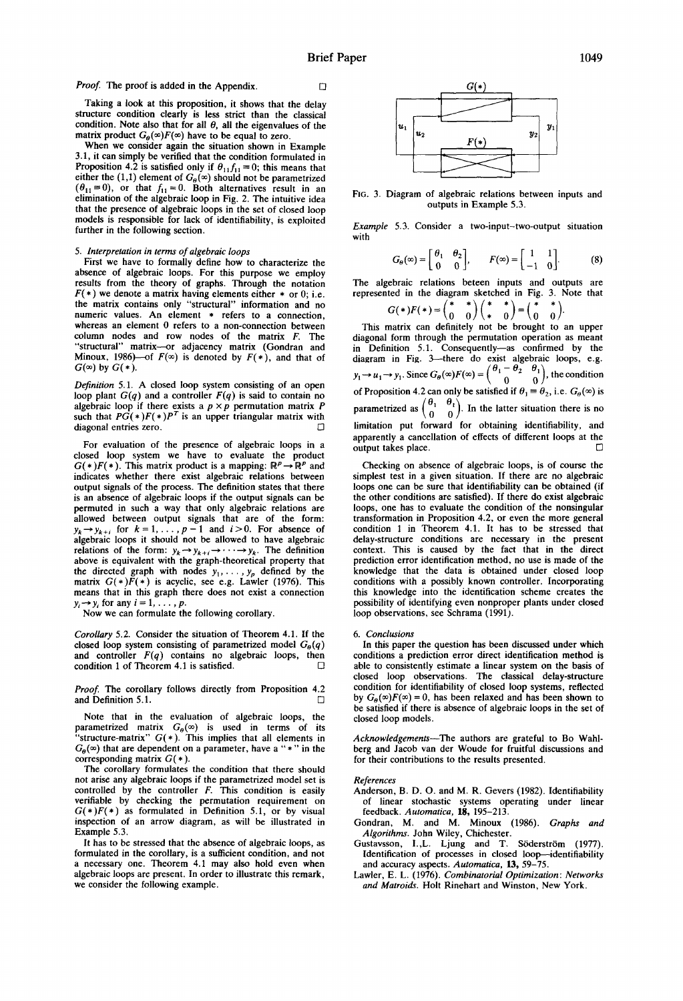Taking a look at this proposition, it shows that the delay structure condition clearly is less strict than the classical condition. Note also that for all  $\theta$ , all the eigenvalues of the matrix product  $G_{\theta}(\infty)F(\infty)$  have to be equal to zero.

When we consider again the situation shown in Example 3.1, it can simply be verified that the condition formulated in Proposition 4.2 is satisfied only if  $\theta_{11}f_{11}=0$ ; this means that either the (1,1) element of  $G_{\theta}(\infty)$  should not be parametrized  $(\theta_{11} \equiv 0)$ , or that  $f_{11} = 0$ . Both alternatives result in an elimination of the algebraic loop in Fig. 2. The intuitive idea that the presence of algebraic loops in the set of closed loop models is responsible for lack of identifiability, is exploited further in the following section.

# *5. Interpretation in terms of algebraic loops*

First we have to formally define how to characterize the absence of algebraic loops. For this purpose we employ results from the theory of graphs. Through the notation  $F(*)$  we denote a matrix having elements either  $*$  or 0; i.e. the matrix contains only "structural" information and no numeric values. An element \* refers to a connection, whereas an element 0 refers to a non-connection between column nodes and row nodes of the matrix F. The "structural" matrix---or adjacency matrix (Gondran and Minoux, 1986)—of  $F(\infty)$  is denoted by  $F(*)$ , and that of  $G(\infty)$  by  $G(*)$ .

*Definition* 5.1. A closed loop system consisting of an open loop plant  $G(q)$  and a controller  $F(q)$  is said to contain no algebraic loop if there exists a  $p \times p$  permutation matrix P such that  $PG(*)F(*)P<sup>T</sup>$  is an upper triangular matrix with diagonal entries zero.

For evaluation of the presence of algebraic loops in a closed loop system we have to evaluate the product  $G(*)F(*)$ . This matrix product is a mapping:  $\mathbb{R}^p \to \mathbb{R}^p$  and indicates whether there exist algebraic relations between output signals of the process. The definition states that there is an absence of algebraic loops if the output signals can be permuted in such a way that only algebraic relations are allowed between output signals that are of the form:  $y_k \rightarrow y_{k+i}$  for  $k = 1, \ldots, p-1$  and  $i > 0$ . For absence of algebraic loops it should not be allowed to have algebraic relations of the form:  $y_k \rightarrow y_{k+i} \rightarrow \cdots \rightarrow y_k$ . The definition above is equivalent with the graph-theoretical property that the directed graph with nodes  $y_1, \ldots, y_p$  defined by the matrix  $G(*)F(*)$  is acyclic, see e.g. Lawler (1976). This means that in this graph there does not exist a connection  $y_i \rightarrow y_i$  for any  $i = 1, \ldots, p$ .

Now we can formulate the following corollary.

*Corollary* 5.2. Consider the situation of Theorem 4.1. If the closed loop system consisting of parametrized model  $G_{\theta}(q)$ and controller  $F(q)$  contains no algebraic loops, then condition 1 of Theorem 4.1 is satisfied.

*Proof. The* corollary follows directly from Proposition 4.2 and Definition 5.1.  $\Box$ 

Note that in the evaluation of algebraic loops, the parametrized matrix  $G_{\theta}(\infty)$  is used in terms of its "structure-matrix"  $G(*)$ . This implies that all elements in  $G_{\theta}(\infty)$  that are dependent on a parameter, have a "\*" in the corresponding matrix  $G(*)$ .

The corollary formulates the condition that there should not arise any algebraic loops if the parametrized model set is controlled by the controller  $F$ . This condition is easily verifiable by checking the permutation requirement on  $G(*)F(*)$  as formulated in Definition 5.1, or by visual inspection of an arrow diagram, as will be illustrated in Example 5.3.

It has to be stressed that the absence of algebraic loops, as formulated in the corollary, is a sufficient condition, and not a necessary one. Theorem 4.1 may also hold even when algebraic loops are present. In order to illustrate this remark, we consider the following example.



FIG. 3. Diagram of algebraic relations between inputs and outputs in Example 5.3.

*Example*  5.3. Consider a two-input-two-output situation with

$$
G_{\theta}(\infty) = \begin{bmatrix} \theta_1 & \theta_2 \\ 0 & 0 \end{bmatrix}, \qquad F(\infty) = \begin{bmatrix} 1 & 1 \\ -1 & 0 \end{bmatrix}.
$$
 (8)

The algebraic relations beteen inputs and outputs are represented in the diagram sketched in Fig. 3. Note that

$$
G(*)F(*) = \begin{pmatrix} * & * \\ 0 & 0 \end{pmatrix} \begin{pmatrix} * & * \\ * & 0 \end{pmatrix} = \begin{pmatrix} * & * \\ 0 & 0 \end{pmatrix}.
$$

This matrix can definitely not be brought to an upper diagonal form through the permutation operation as meant in Definition 5.1. Consequently--as confirmed by the diagram in Fig. 3---there do exist algebraic loops, e.g.  $y_1 \rightarrow u_1 \rightarrow y_1$ . Since  $G_\theta(\infty) F(\infty) = \begin{pmatrix} 0 & 0 & 0 \\ 0 & 0 & 0 \\ 0 & 0 & 0 \end{pmatrix}$ , the condition of Proposition 4.2 can only be satisfied if  $\theta_1 = \theta_2$ , i.e.  $G_{\theta}(\infty)$  is parametrized as  $\begin{pmatrix} 0 & 0 \\ 0 & 0 \end{pmatrix}$ . In the latter situation there is no limitation put forward for obtaining identifiability, and apparently a cancellation of effects of different loops at the output takes place.

Checking on absence of algebraic loops, is of course the simplest test in a given situation. If there are no algebraic loops one can be sure that identifiability can be obtained (if the other conditions are satisfied). If there do exist algebraic loops, one has to evaluate the condition of the nonsingular transformation in Proposition 4.2, or even the more general condition 1 in Theorem 4.1. It has to be stressed that delay-structure conditions are necessary in the present context. This is caused by the fact that in the direct prediction error identification method, no use is made of the knowledge that the data is obtained under closed loop conditions with a possibly known controller. Incorporating this knowledge into the identification scheme creates the possibility of identifying even nonproper plants under closed loop observations, see Schrama (1991).

#### *6. Conclusions*

In this paper the question has been discussed under which conditions a prediction error direct identification method is able to consistently estimate a linear system on the basis of closed loop observations. The classical delay-structure condition for identifiability of closed loop systems, reflected by  $G_{\theta}(\infty)F(\infty) = 0$ , has been relaxed and has been shown to be satisfied if there is absence of algebraic loops in the set of closed loop models.

*Acknowledgements--The* authors are grateful to Bo Wahlberg and Jacob van der Woude for fruitful discussions and for their contributions to the results presented.

#### *References*

- Anderson, B. D. O. and M. R. Gevers (1982). Identifiability of linear stochastic systems operating under linear feedback. *Automatica,* 15, 195-213.
- Gondran, M. and M. Minoux (1986). *Graphs and Algorithms.* John Wiley, Chichester.
- Gustavsson, I., L. Ljung and T. Söderström (1977). Identification of processes in closed loop--identifiability and accuracy aspects. *Automatica,* 13, 59-75.
- Lawler, E. L. (1976). *Combinatorial Optimization: Networks and Matroids.* Holt Rinehart and Winston, New York.